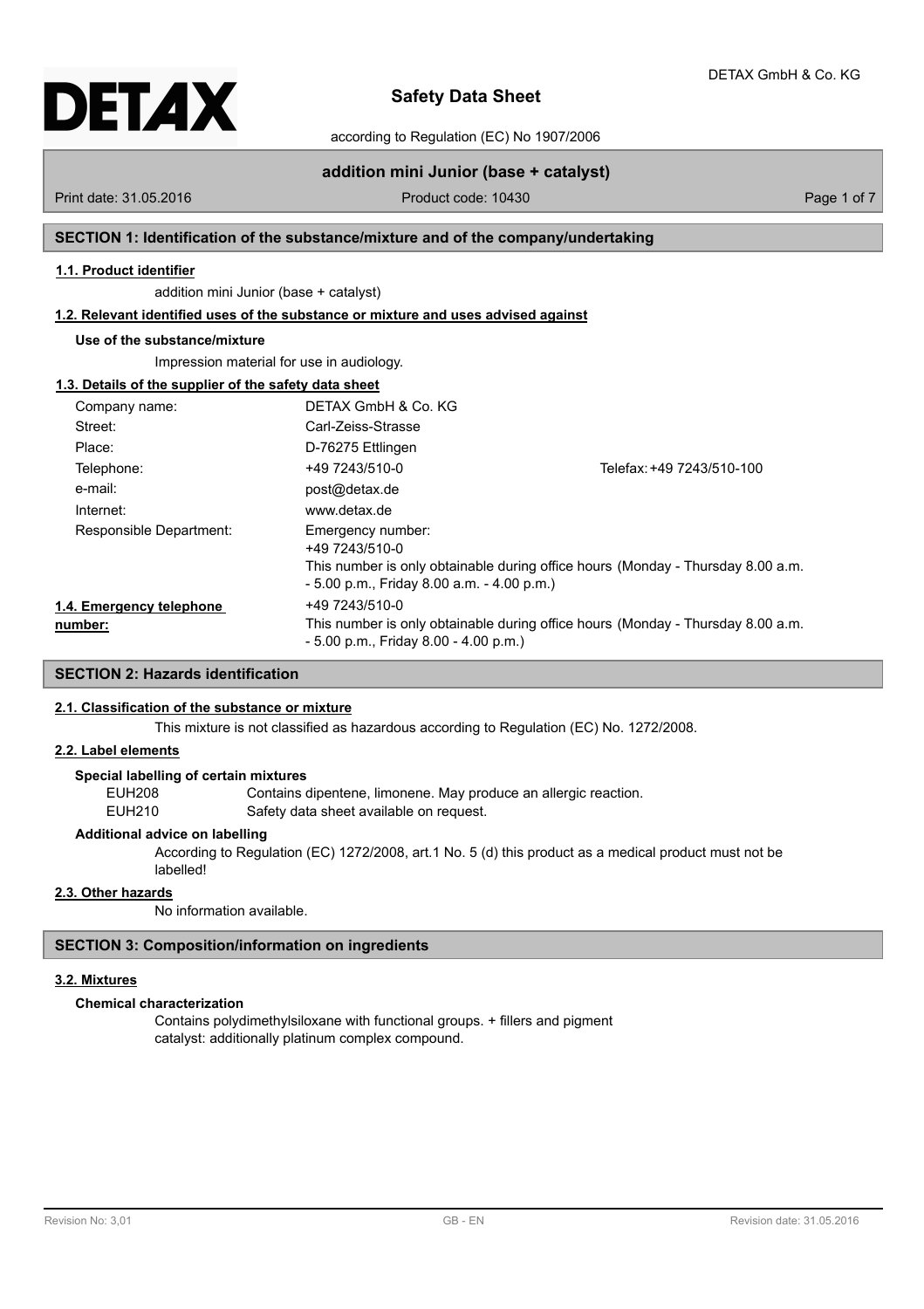

according to Regulation (EC) No 1907/2006

Print date: 31.05.2016 **Product code: 10430** Product code: 10430 Page 1 of 7

**addition mini Junior (base + catalyst)**

## **SECTION 1: Identification of the substance/mixture and of the company/undertaking**

## **1.1. Product identifier**

addition mini Junior (base + catalyst)

## **1.2. Relevant identified uses of the substance or mixture and uses advised against**

## **Use of the substance/mixture**

Impression material for use in audiology.

## **1.3. Details of the supplier of the safety data sheet**

| Company name:                       | DETAX GmbH & Co. KG                                                                 |                                                                                 |  |  |
|-------------------------------------|-------------------------------------------------------------------------------------|---------------------------------------------------------------------------------|--|--|
| Street:                             | Carl-Zeiss-Strasse                                                                  |                                                                                 |  |  |
| Place:                              | D-76275 Ettlingen                                                                   |                                                                                 |  |  |
| Telephone:                          | +49 7243/510-0                                                                      | Telefax: +49 7243/510-100                                                       |  |  |
| e-mail:                             | post@detax.de                                                                       |                                                                                 |  |  |
| Internet:                           | www.detax.de                                                                        |                                                                                 |  |  |
| Responsible Department:             | Emergency number:<br>+49 7243/510-0<br>$-5.00$ p.m., Friday 8.00 a.m. $-4.00$ p.m.) | This number is only obtainable during office hours (Monday - Thursday 8.00 a.m. |  |  |
| 1.4. Emergency telephone<br>number: | +49 7243/510-0<br>$-5.00$ p.m., Friday 8.00 $-4.00$ p.m.)                           | This number is only obtainable during office hours (Monday - Thursday 8.00 a.m. |  |  |

## **SECTION 2: Hazards identification**

## **2.1. Classification of the substance or mixture**

This mixture is not classified as hazardous according to Regulation (EC) No. 1272/2008.

## **2.2. Label elements**

## **Special labelling of certain mixtures**

EUH208 Contains dipentene, limonene. May produce an allergic reaction. EUH210 Safety data sheet available on request.

## **Additional advice on labelling**

According to Regulation (EC) 1272/2008, art.1 No. 5 (d) this product as a medical product must not be labelled!

## **2.3. Other hazards**

No information available.

## **SECTION 3: Composition/information on ingredients**

## **3.2. Mixtures**

## **Chemical characterization**

Contains polydimethylsiloxane with functional groups. + fillers and pigment catalyst: additionally platinum complex compound.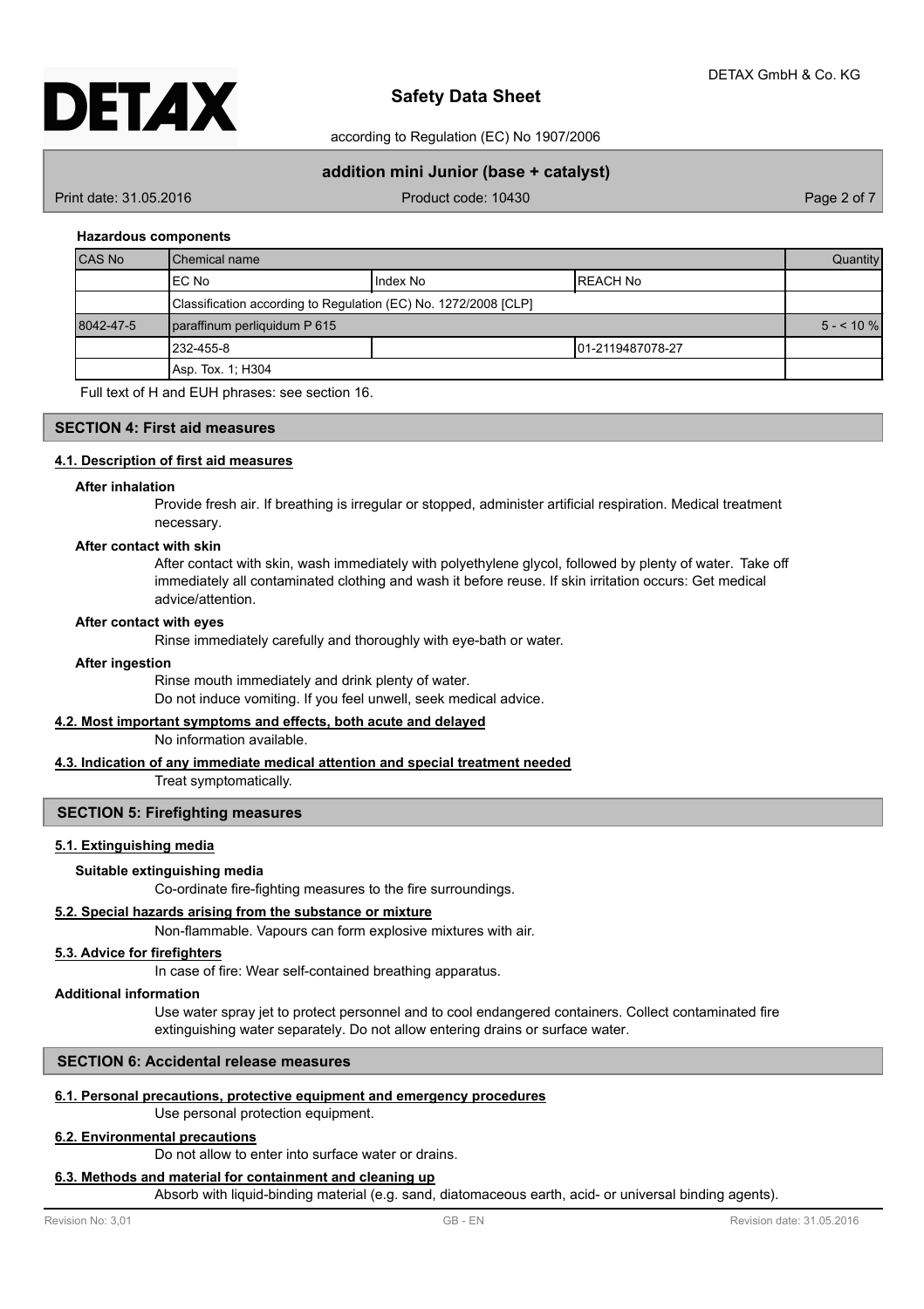

according to Regulation (EC) No 1907/2006

## **addition mini Junior (base + catalyst)**

Print date: 31.05.2016 **Product code: 10430** Product code: 10430 Page 2 of 7

## **Hazardous components**

| <b>CAS No</b> | l Chemical name                                                 |          |                   | <b>Quantity</b> |
|---------------|-----------------------------------------------------------------|----------|-------------------|-----------------|
|               | EC No                                                           | Index No | IREACH No         |                 |
|               | Classification according to Regulation (EC) No. 1272/2008 [CLP] |          |                   |                 |
| 8042-47-5     | paraffinum perliquidum P 615                                    |          | $5 - 10\%$        |                 |
|               | 1232-455-8                                                      |          | 101-2119487078-27 |                 |
|               | Asp. Tox. 1: H304                                               |          |                   |                 |

Full text of H and EUH phrases: see section 16.

## **SECTION 4: First aid measures**

## **4.1. Description of first aid measures**

#### **After inhalation**

Provide fresh air. If breathing is irregular or stopped, administer artificial respiration. Medical treatment necessary.

## **After contact with skin**

After contact with skin, wash immediately with polyethylene glycol, followed by plenty of water. Take off immediately all contaminated clothing and wash it before reuse. If skin irritation occurs: Get medical advice/attention.

## **After contact with eyes**

Rinse immediately carefully and thoroughly with eye-bath or water.

## **After ingestion**

Rinse mouth immediately and drink plenty of water. Do not induce vomiting. If you feel unwell, seek medical advice.

## **4.2. Most important symptoms and effects, both acute and delayed**

No information available.

## **4.3. Indication of any immediate medical attention and special treatment needed**

Treat symptomatically.

## **SECTION 5: Firefighting measures**

## **5.1. Extinguishing media**

## **Suitable extinguishing media**

Co-ordinate fire-fighting measures to the fire surroundings.

## **5.2. Special hazards arising from the substance or mixture**

Non-flammable. Vapours can form explosive mixtures with air.

## **5.3. Advice for firefighters**

In case of fire: Wear self-contained breathing apparatus.

## **Additional information**

Use water spray jet to protect personnel and to cool endangered containers. Collect contaminated fire extinguishing water separately. Do not allow entering drains or surface water.

## **SECTION 6: Accidental release measures**

## **6.1. Personal precautions, protective equipment and emergency procedures**

## Use personal protection equipment.

## **6.2. Environmental precautions**

Do not allow to enter into surface water or drains.

#### **6.3. Methods and material for containment and cleaning up**

Absorb with liquid-binding material (e.g. sand, diatomaceous earth, acid- or universal binding agents).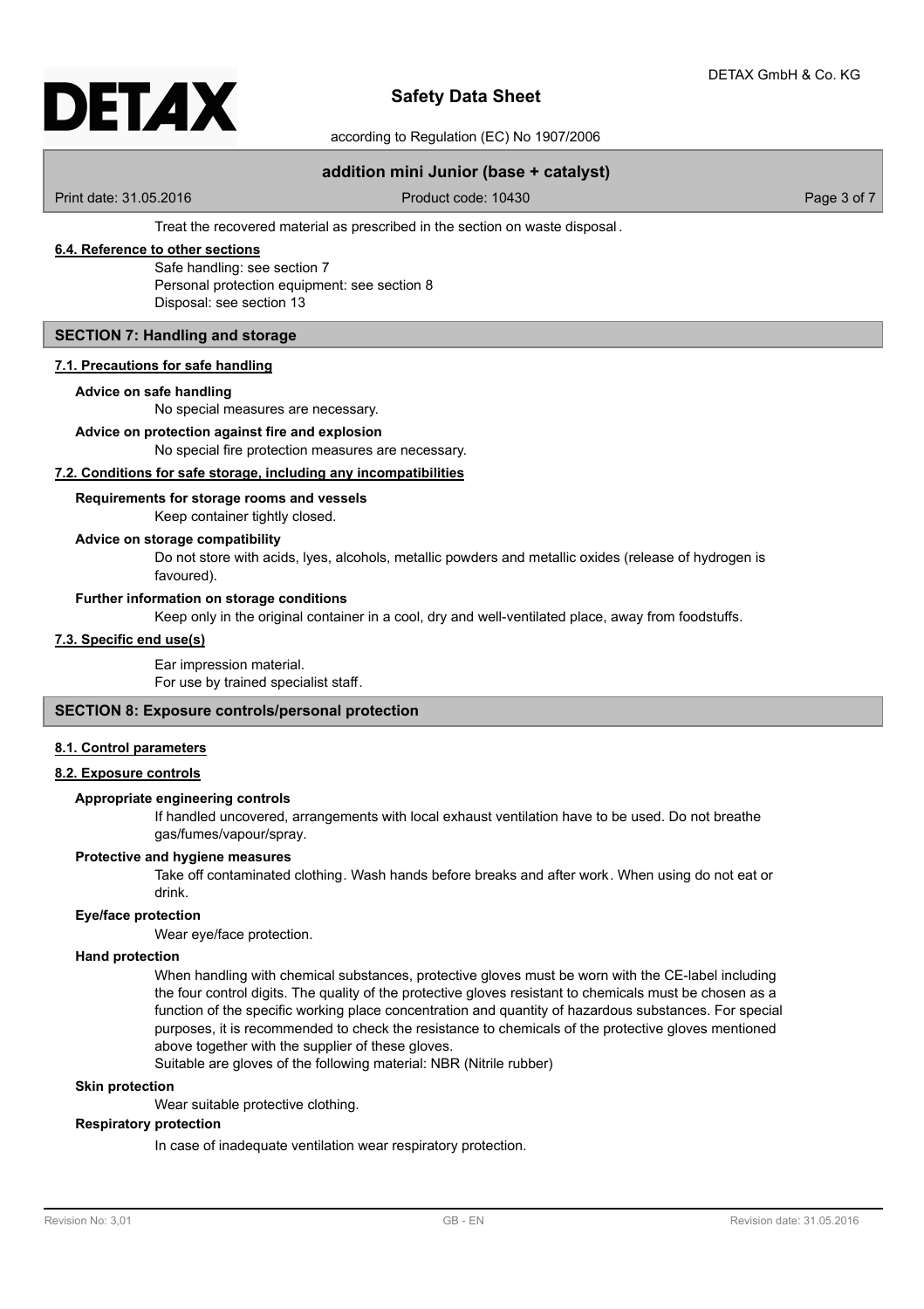

according to Regulation (EC) No 1907/2006

## **addition mini Junior (base + catalyst)**

Print date: 31.05.2016 **Product code: 10430** Product code: 10430 Page 3 of 7

Treat the recovered material as prescribed in the section on waste disposal .

## **6.4. Reference to other sections**

Safe handling: see section 7 Personal protection equipment: see section 8 Disposal: see section 13

## **SECTION 7: Handling and storage**

## **7.1. Precautions for safe handling**

## **Advice on safe handling**

No special measures are necessary.

## **Advice on protection against fire and explosion**

No special fire protection measures are necessary.

## **7.2. Conditions for safe storage, including any incompatibilities**

## **Requirements for storage rooms and vessels**

Keep container tightly closed.

## **Advice on storage compatibility**

Do not store with acids, lyes, alcohols, metallic powders and metallic oxides (release of hydrogen is favoured).

## **Further information on storage conditions**

Keep only in the original container in a cool, dry and well-ventilated place, away from foodstuffs.

## **7.3. Specific end use(s)**

Ear impression material. For use by trained specialist staff.

## **SECTION 8: Exposure controls/personal protection**

## **8.1. Control parameters**

## **8.2. Exposure controls**

## **Appropriate engineering controls**

If handled uncovered, arrangements with local exhaust ventilation have to be used. Do not breathe gas/fumes/vapour/spray.

## **Protective and hygiene measures**

Take off contaminated clothing. Wash hands before breaks and after work. When using do not eat or drink.

#### **Eye/face protection**

Wear eye/face protection.

## **Hand protection**

When handling with chemical substances, protective gloves must be worn with the CE-label including the four control digits. The quality of the protective gloves resistant to chemicals must be chosen as a function of the specific working place concentration and quantity of hazardous substances. For special purposes, it is recommended to check the resistance to chemicals of the protective gloves mentioned above together with the supplier of these gloves.

Suitable are gloves of the following material: NBR (Nitrile rubber)

## **Skin protection**

Wear suitable protective clothing.

## **Respiratory protection**

In case of inadequate ventilation wear respiratory protection.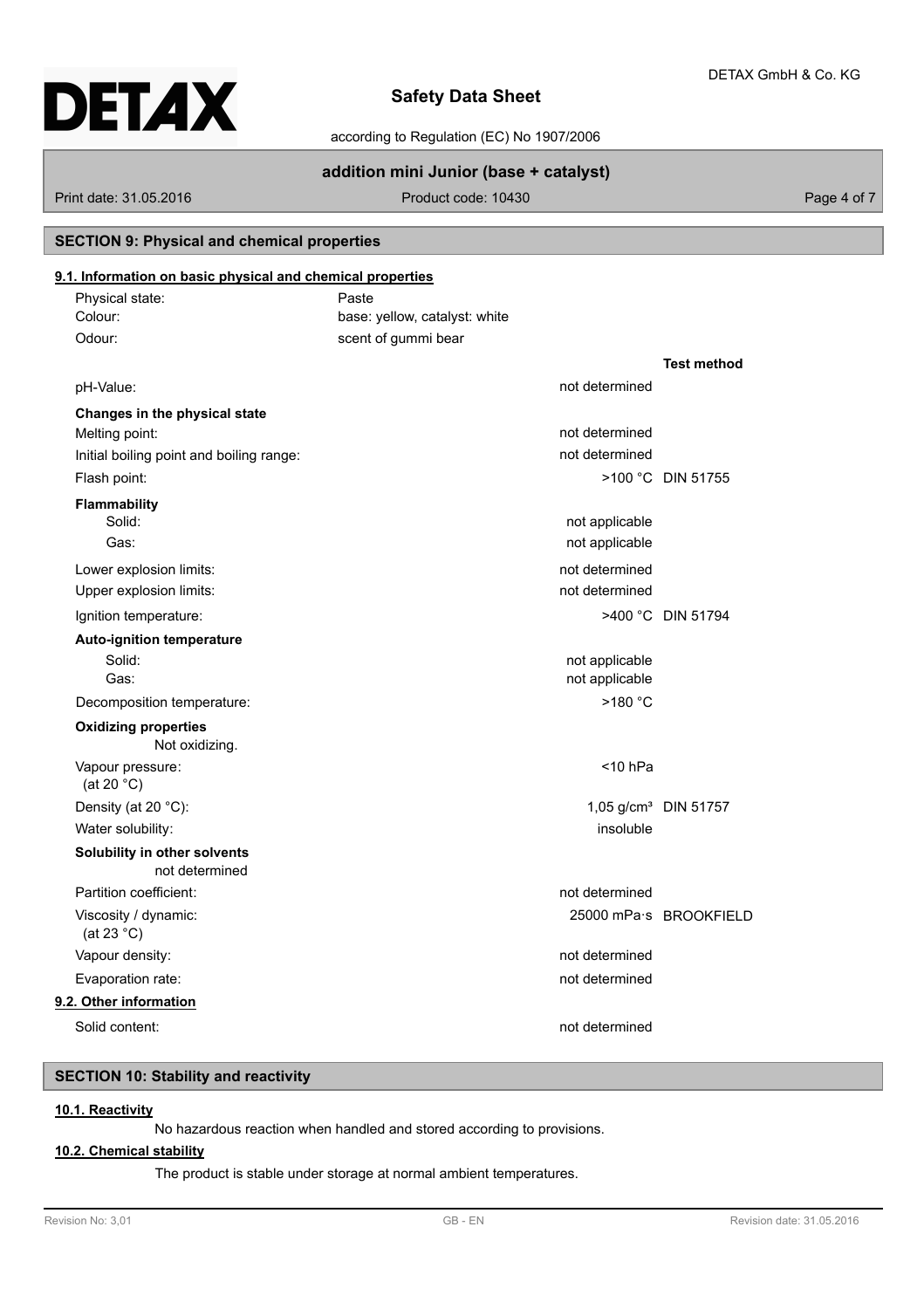according to Regulation (EC) No 1907/2006

## **addition mini Junior (base + catalyst)**

Print date: 31.05.2016 **Product code: 10430** Product code: 10430

## **SECTION 9: Physical and chemical properties**

## **9.1. Information on basic physical and chemical properties**

| 9.1. Information on basic physical and chemical properties |                               |                |                                  |
|------------------------------------------------------------|-------------------------------|----------------|----------------------------------|
| Physical state:                                            | Paste                         |                |                                  |
| Colour:                                                    | base: yellow, catalyst: white |                |                                  |
| Odour:                                                     | scent of gummi bear           |                |                                  |
|                                                            |                               |                | <b>Test method</b>               |
| pH-Value:                                                  |                               | not determined |                                  |
| Changes in the physical state                              |                               |                |                                  |
| Melting point:                                             |                               | not determined |                                  |
| Initial boiling point and boiling range:                   |                               | not determined |                                  |
| Flash point:                                               |                               |                | >100 °C DIN 51755                |
| Flammability                                               |                               |                |                                  |
| Solid:                                                     |                               | not applicable |                                  |
| Gas:                                                       |                               | not applicable |                                  |
| Lower explosion limits:                                    |                               | not determined |                                  |
| Upper explosion limits:                                    |                               | not determined |                                  |
| Ignition temperature:                                      |                               |                | >400 °C DIN 51794                |
| <b>Auto-ignition temperature</b>                           |                               |                |                                  |
| Solid:                                                     |                               | not applicable |                                  |
| Gas:                                                       |                               | not applicable |                                  |
| Decomposition temperature:                                 |                               | >180 °C        |                                  |
| <b>Oxidizing properties</b><br>Not oxidizing.              |                               |                |                                  |
| Vapour pressure:<br>(at 20 $^{\circ}$ C)                   |                               | $<$ 10 hPa     |                                  |
| Density (at 20 °C):                                        |                               |                | 1,05 g/cm <sup>3</sup> DIN 51757 |
| Water solubility:                                          |                               | insoluble      |                                  |
| Solubility in other solvents<br>not determined             |                               |                |                                  |
| Partition coefficient:                                     |                               | not determined |                                  |
| Viscosity / dynamic:<br>(at 23 $^{\circ}$ C)               |                               |                | 25000 mPa·s BROOKFIELD           |
| Vapour density:                                            |                               | not determined |                                  |
| Evaporation rate:                                          |                               | not determined |                                  |
| 9.2. Other information                                     |                               |                |                                  |
| Solid content:                                             |                               | not determined |                                  |

## **SECTION 10: Stability and reactivity**

## **10.1. Reactivity**

No hazardous reaction when handled and stored according to provisions.

## **10.2. Chemical stability**

The product is stable under storage at normal ambient temperatures.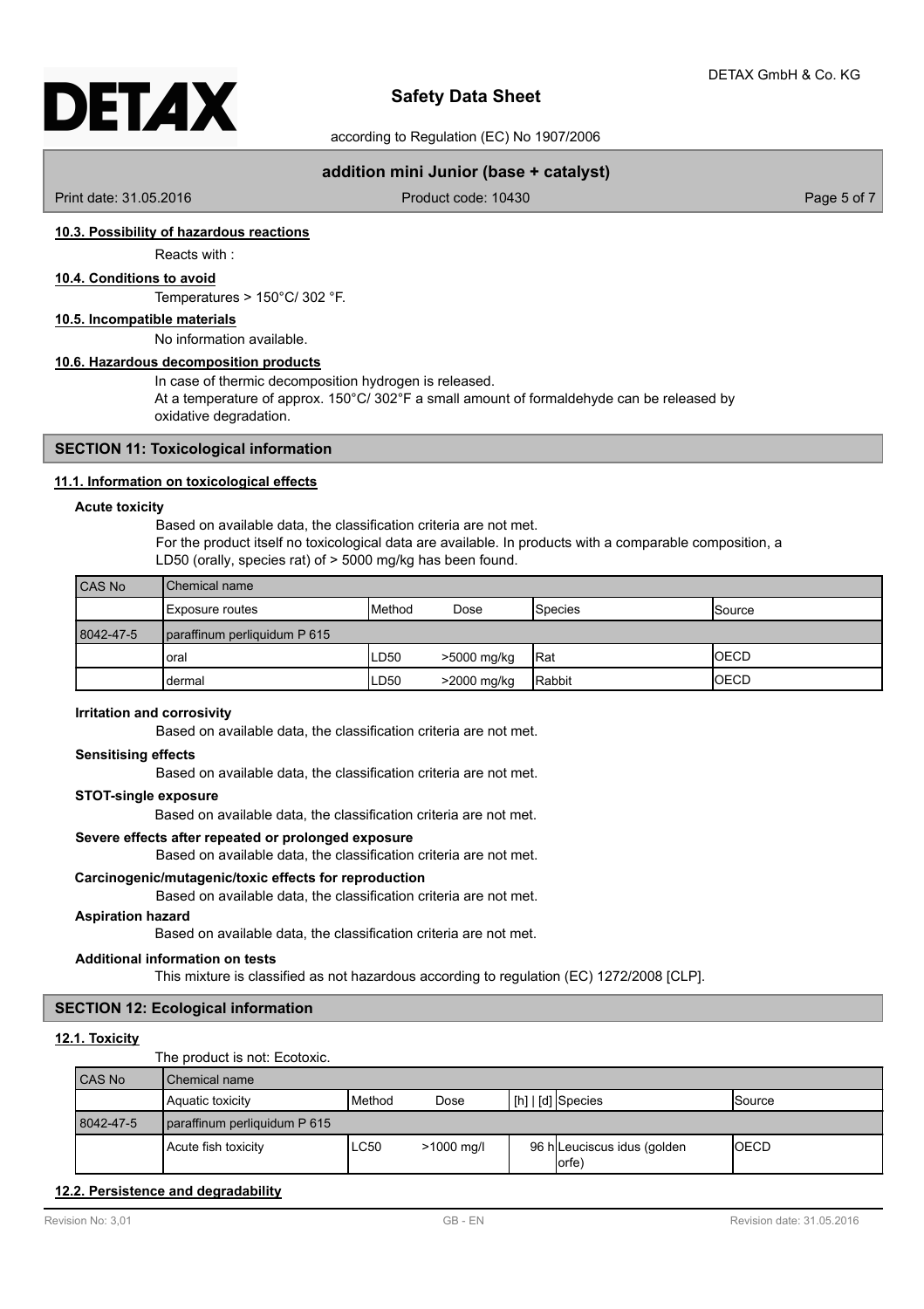according to Regulation (EC) No 1907/2006

## **addition mini Junior (base + catalyst)**

Print date: 31.05.2016 **Product code: 10430** Product code: 10430 Page 5 of 7

## **10.3. Possibility of hazardous reactions**

Reacts with :

## **10.4. Conditions to avoid**

Temperatures > 150°C/ 302 °F.

**10.5. Incompatible materials**

No information available.

## **10.6. Hazardous decomposition products**

In case of thermic decomposition hydrogen is released.

At a temperature of approx. 150°C/ 302°F a small amount of formaldehyde can be released by oxidative degradation.

## **SECTION 11: Toxicological information**

## **11.1. Information on toxicological effects**

#### **Acute toxicity**

Based on available data, the classification criteria are not met. For the product itself no toxicological data are available. In products with a comparable composition, a LD50 (orally, species rat) of > 5000 mg/kg has been found.

| CAS No    | <b>I</b> Chemical name       |                 |             |                |                 |
|-----------|------------------------------|-----------------|-------------|----------------|-----------------|
|           | Exposure routes              | <b>I</b> Method | Dose        | <b>Species</b> | <b>I</b> Source |
| 8042-47-5 | paraffinum perliquidum P 615 |                 |             |                |                 |
|           | oral                         | LD50            | >5000 mg/kg | <b>IRat</b>    | <b>OECD</b>     |
|           | dermal                       | LD50            | >2000 mg/kg | Rabbit         | IOECD           |

## **Irritation and corrosivity**

Based on available data, the classification criteria are not met.

## **Sensitising effects**

Based on available data, the classification criteria are not met.

## **STOT-single exposure**

Based on available data, the classification criteria are not met.

## **Severe effects after repeated or prolonged exposure**

Based on available data, the classification criteria are not met.

## **Carcinogenic/mutagenic/toxic effects for reproduction**

Based on available data, the classification criteria are not met.

## **Aspiration hazard**

Based on available data, the classification criteria are not met.

## **Additional information on tests**

This mixture is classified as not hazardous according to regulation (EC) 1272/2008 [CLP].

## **SECTION 12: Ecological information**

## **12.1. Toxicity**

The product is not: Ecotoxic.

| CAS No    | I Chemical name              |          |              |  |                                      |              |
|-----------|------------------------------|----------|--------------|--|--------------------------------------|--------------|
|           | Aquatic toxicity             | l Method | Dose         |  | $\lfloor$ [h] $\lfloor$ [d] Species  | ISource      |
| 8042-47-5 | paraffinum perliquidum P 615 |          |              |  |                                      |              |
|           | Acute fish toxicity          | ILC50    | $>1000$ mg/l |  | 96 h Leuciscus idus (golden<br>(orfe | <b>IOECD</b> |

## **12.2. Persistence and degradability**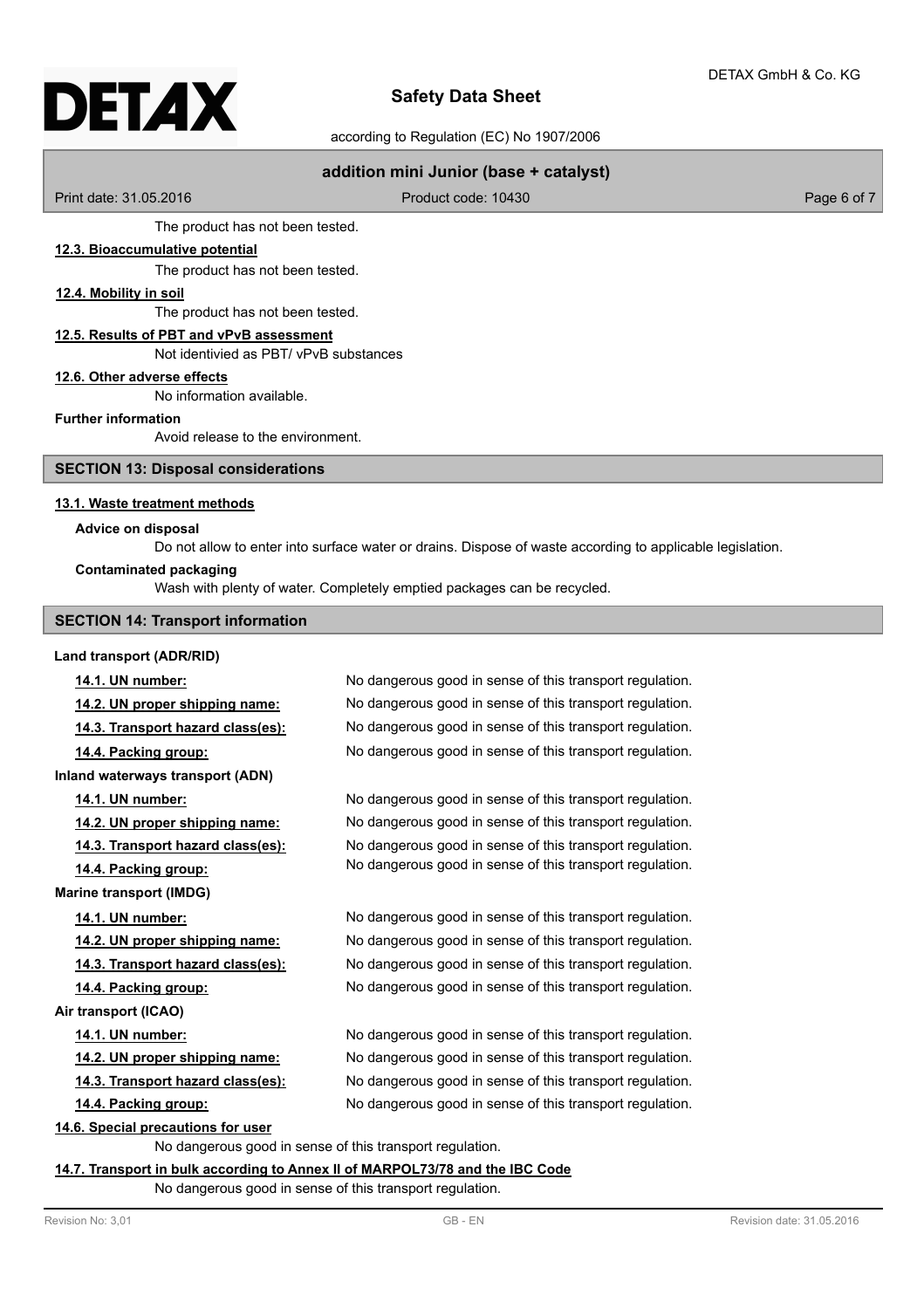# DETAX

## **Safety Data Sheet**

according to Regulation (EC) No 1907/2006

## **addition mini Junior (base + catalyst)**

Print date: 31.05.2016 **Product code: 10430** Product code: 10430 Page 6 of 7

The product has not been tested.

## **12.3. Bioaccumulative potential**

The product has not been tested.

## **12.4. Mobility in soil**

The product has not been tested.

## **12.5. Results of PBT and vPvB assessment**

Not identivied as PBT/ vPvB substances

## **12.6. Other adverse effects**

No information available.

## **Further information**

Avoid release to the environment.

## **SECTION 13: Disposal considerations**

## **13.1. Waste treatment methods**

## **Advice on disposal**

Do not allow to enter into surface water or drains. Dispose of waste according to applicable legislation.

## **Contaminated packaging**

Wash with plenty of water. Completely emptied packages can be recycled.

## **SECTION 14: Transport information**

# **Land transport (ADR/RID)**

**Inland waterways transport (ADN)**

**Marine transport (IMDG)**

**Air transport (ICAO)**

**14.1. UN number:** No dangerous good in sense of this transport regulation. **14.2. UN proper shipping name:** No dangerous good in sense of this transport regulation. **14.3. Transport hazard class(es):** No dangerous good in sense of this transport regulation. **14.4. Packing group:** No dangerous good in sense of this transport regulation.

**14.1. UN number:** No dangerous good in sense of this transport regulation. **14.2. UN proper shipping name:** No dangerous good in sense of this transport regulation. **14.3. Transport hazard class(es):** No dangerous good in sense of this transport regulation. **14.4. Packing group:** No dangerous good in sense of this transport regulation.

**14.1. UN number:** No dangerous good in sense of this transport regulation. **14.2. UN proper shipping name:** No dangerous good in sense of this transport regulation. **14.3. Transport hazard class(es):** No dangerous good in sense of this transport regulation. **14.4. Packing group:** No dangerous good in sense of this transport regulation.

**14.1. UN number:** No dangerous good in sense of this transport regulation. **14.2. UN proper shipping name:** No dangerous good in sense of this transport regulation. **14.3. Transport hazard class(es):** No dangerous good in sense of this transport regulation. **14.4. Packing group:** No dangerous good in sense of this transport regulation.

## **14.6. Special precautions for user**

No dangerous good in sense of this transport regulation.

## **14.7. Transport in bulk according to Annex II of MARPOL73/78 and the IBC Code**

No dangerous good in sense of this transport regulation.